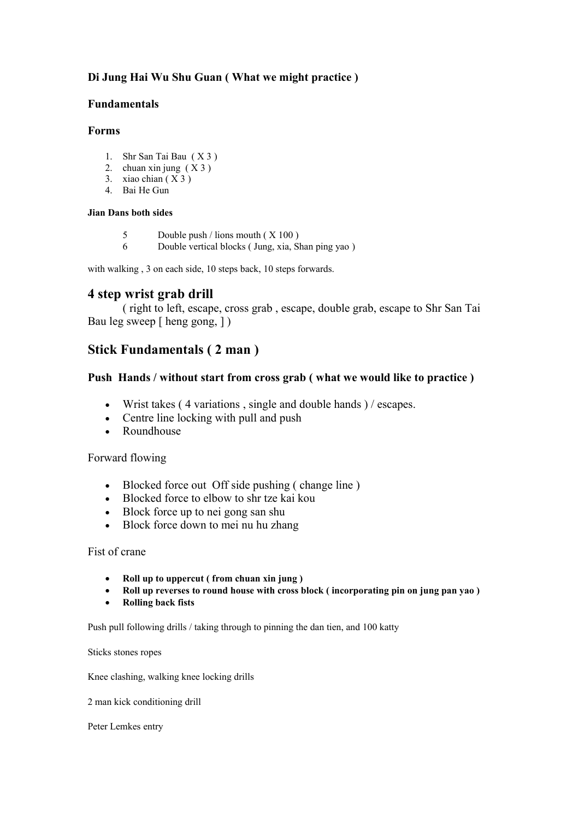## **Di Jung Hai Wu Shu Guan ( What we might practice )**

### **Fundamentals**

#### **Forms**

- 1. Shr San Tai Bau ( X 3 )
- 2. chuan xin jung  $(X3)$
- 3. xiao chian  $(X3)$
- 4. Bai He Gun

#### **Jian Dans both sides**

- 5 Double push / lions mouth ( X 100 )
- 6 Double vertical blocks ( Jung, xia, Shan ping yao )

with walking , 3 on each side, 10 steps back, 10 steps forwards.

# **4 step wrist grab drill**

( right to left, escape, cross grab , escape, double grab, escape to Shr San Tai Bau leg sweep [ heng gong, ] )

# **Stick Fundamentals ( 2 man )**

## **Push Hands / without start from cross grab ( what we would like to practice )**

- Wrist takes ( 4 variations , single and double hands ) / escapes.
- Centre line locking with pull and push
- Roundhouse

### Forward flowing

- Blocked force out Off side pushing ( change line )
- Blocked force to elbow to shr tze kai kou
- Block force up to nei gong san shu
- Block force down to mei nu hu zhang

#### Fist of crane

- **Roll up to uppercut ( from chuan xin jung )**
- **Roll up reverses to round house with cross block ( incorporating pin on jung pan yao )**
- **Rolling back fists**

Push pull following drills / taking through to pinning the dan tien, and 100 katty

Sticks stones ropes

Knee clashing, walking knee locking drills

2 man kick conditioning drill

Peter Lemkes entry